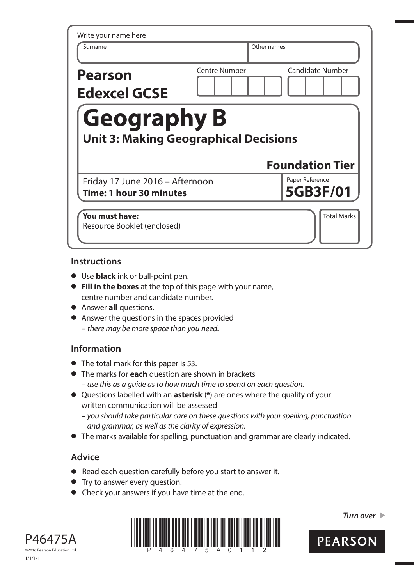| Write your name here                         |                      |                         |
|----------------------------------------------|----------------------|-------------------------|
| Surname                                      |                      | Other names             |
| <b>Pearson</b><br><b>Edexcel GCSE</b>        | <b>Centre Number</b> | <b>Candidate Number</b> |
| <b>Geography B</b>                           |                      |                         |
|                                              |                      |                         |
| <b>Unit 3: Making Geographical Decisions</b> |                      |                         |
|                                              |                      | <b>Foundation Tier</b>  |
| Friday 17 June 2016 – Afternoon              |                      | Paper Reference         |
| <b>Time: 1 hour 30 minutes</b>               |                      | 5GB3F/01                |

## **Instructions**

- **•** Use **black** ink or ball-point pen.
- **• Fill in the boxes** at the top of this page with your name, centre number and candidate number.
- **•** Answer **all** questions.
- **•** Answer the questions in the spaces provided – there may be more space than you need.

## **Information**

- The total mark for this paper is 53.
- **•** The marks for **each** question are shown in brackets – use this as a guide as to how much time to spend on each question.
- **•** Questions labelled with an **asterisk** (**\***) are ones where the quality of your written communication will be assessed
	- you should take particular care on these questions with your spelling, punctuation and grammar, as well as the clarity of expression.
- **•** The marks available for spelling, punctuation and grammar are clearly indicated.

# **Advice**

- **•** Read each question carefully before you start to answer it.
- **•** Try to answer every question.
- **•** Check your answers if you have time at the end.





**Turn over** 

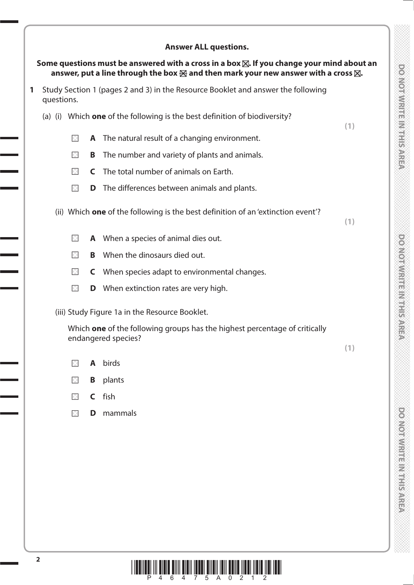#### **Answer ALL questions.**

## Some questions must be answered with a cross in a box  $\boxtimes$ . If you change your mind about an answer, put a line through the box  $\boxtimes$  and then mark your new answer with a cross  $\boxtimes$ .

- **1** Study Section 1 (pages 2 and 3) in the Resource Booklet and answer the following questions.
	- (a) (i) Which **one** of the following is the best definition of biodiversity?

**(1)**

- $\boxtimes$ **A** The natural result of a changing environment.
- $\boxtimes$ **B** The number and variety of plants and animals.
- $\mathbb{R}$ **C** The total number of animals on Earth.
- $\times$ **D** The differences between animals and plants.
- (ii) Which **one** of the following is the best definition of an 'extinction event'?

**(1)**

**DO NOT WRITE IN THIS AREA DO NOT WRITE IN THIS AREA DO NOT WRITE IN THIS AREA DO NOT WRITE IN THIS AREA DO NOT** 

**DOMOTIVIRITE IN THE SARE** 

DOMOTWRITEIN THIS AREA

**DOMORWITH MARINARY** 

- **A** When a species of animal dies out.  $\mathbb{X}$
- $\boxtimes$ **B** When the dinosaurs died out.
- $\boxtimes$ **C** When species adapt to environmental changes.
- $\boxtimes$ **D** When extinction rates are very high.

(iii) Study Figure 1a in the Resource Booklet.

 Which **one** of the following groups has the highest percentage of critically endangered species?

**(1)**

- $\boxtimes$ **A** birds
- **B** plants  $\boxtimes$
- $\mathbb{X}$ **C** fish
- $\times$ **D** mammals

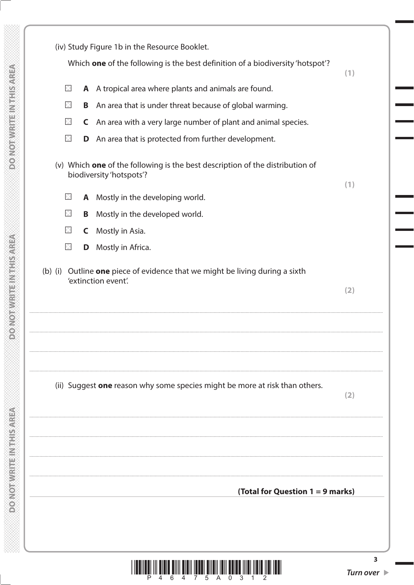|             |              | (iv) Study Figure 1b in the Resource Booklet.                                                             |     |
|-------------|--------------|-----------------------------------------------------------------------------------------------------------|-----|
|             |              | Which one of the following is the best definition of a biodiversity 'hotspot'?                            |     |
| $\boxtimes$ |              | A A tropical area where plants and animals are found.                                                     | (1) |
| X           | B            | An area that is under threat because of global warming.                                                   |     |
| $\times$    | C            | An area with a very large number of plant and animal species.                                             |     |
| $\times$    | D            | An area that is protected from further development.                                                       |     |
|             |              | (v) Which one of the following is the best description of the distribution of<br>biodiversity 'hotspots'? |     |
| $\times$    |              | A Mostly in the developing world.                                                                         | (1) |
| $\times$    | B            | Mostly in the developed world.                                                                            |     |
| $\times$    | $\mathsf{C}$ | Mostly in Asia.                                                                                           |     |
| $\times$    | D            | Mostly in Africa.                                                                                         |     |
|             |              | (ii) Suggest one reason why some species might be more at risk than others.                               | (2) |
|             |              | (Total for Question 1 = 9 marks)                                                                          |     |
|             |              |                                                                                                           |     |

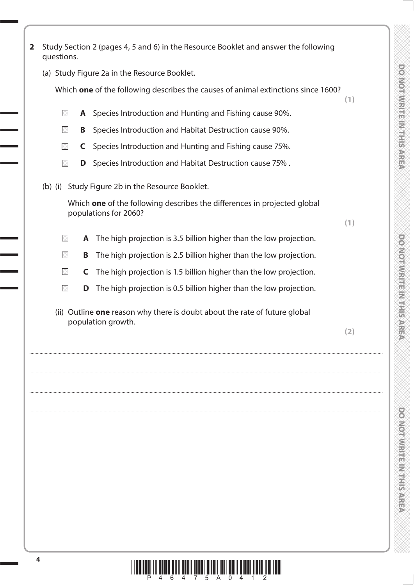**DO NOT WRITE IN THIS AREA DO NOT WRITE IN THIS AREA DO NOT WRITE IN THIS AREA DO NOT WRITE IN THIS AREA DO NOT** powowwaterwaters.



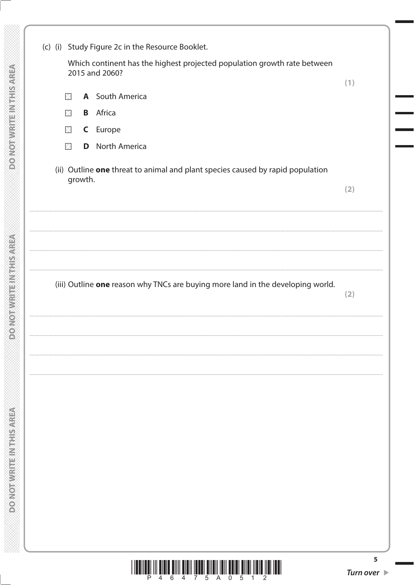(c) (i) Study Figure 2c in the Resource Booklet. Which continent has the highest projected population growth rate between 2015 and 2060?  $(1)$ A South America  $\boxtimes$ Africa  $\mathbf{B}$  $\times$ Europe  $\boxtimes$  $\mathsf{C}$ **D** North America  $\boxtimes$ (ii) Outline one threat to animal and plant species caused by rapid population growth.  $(2)$ (iii) Outline one reason why TNCs are buying more land in the developing world.  $(2)$ 5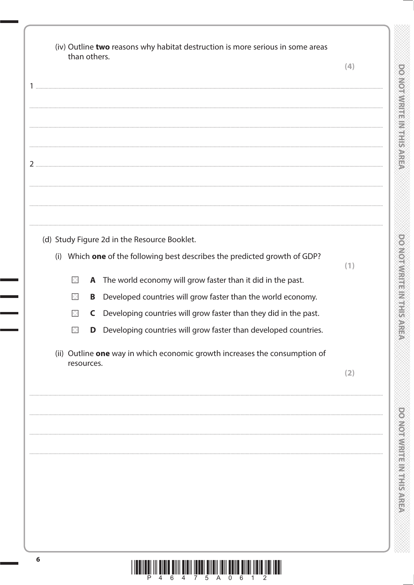| than others. |   | (iv) Outline two reasons why habitat destruction is more serious in some areas |                                |
|--------------|---|--------------------------------------------------------------------------------|--------------------------------|
|              |   |                                                                                | (4)                            |
|              |   |                                                                                |                                |
|              |   |                                                                                |                                |
|              |   |                                                                                |                                |
|              |   |                                                                                | <b>DOMORATION IS NOT STATE</b> |
| 2            |   |                                                                                |                                |
|              |   |                                                                                |                                |
|              |   |                                                                                |                                |
|              |   |                                                                                |                                |
|              |   | (d) Study Figure 2d in the Resource Booklet.                                   |                                |
| (i)          |   | Which one of the following best describes the predicted growth of GDP?         |                                |
| ×            |   | A The world economy will grow faster than it did in the past.                  | (1)                            |
| ×            | B | Developed countries will grow faster than the world economy.                   |                                |
| ×            | C | Developing countries will grow faster than they did in the past.               |                                |
|              | D | Developing countries will grow faster than developed countries.                |                                |
|              |   | (ii) Outline one way in which economic growth increases the consumption of     |                                |
| resources.   |   |                                                                                |                                |
|              |   |                                                                                | (2)                            |
|              |   |                                                                                |                                |
|              |   |                                                                                |                                |
|              |   |                                                                                |                                |
|              |   |                                                                                |                                |
|              |   |                                                                                |                                |
|              |   |                                                                                |                                |
|              |   |                                                                                | power with the with systems.   |
|              |   |                                                                                |                                |
|              |   |                                                                                |                                |
|              |   |                                                                                |                                |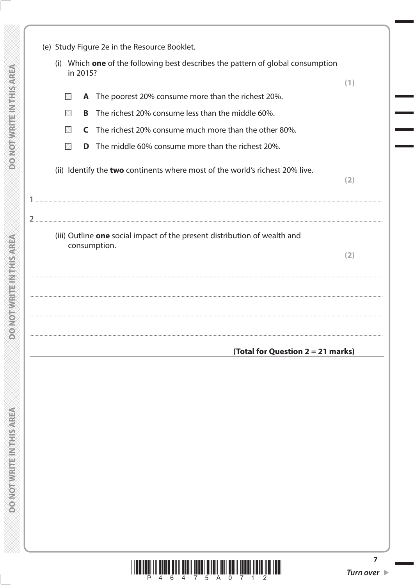|          |          | (e) Study Figure 2e in the Resource Booklet.                                              |     |
|----------|----------|-------------------------------------------------------------------------------------------|-----|
|          | in 2015? | (i) Which one of the following best describes the pattern of global consumption           |     |
|          |          |                                                                                           | (1) |
| $\times$ |          | A The poorest 20% consume more than the richest 20%.                                      |     |
| $\times$ |          | <b>B</b> The richest 20% consume less than the middle 60%.                                |     |
| $\times$ |          | C The richest 20% consume much more than the other 80%.                                   |     |
| $\times$ |          | <b>D</b> The middle 60% consume more than the richest 20%.                                |     |
|          |          | (ii) Identify the two continents where most of the world's richest 20% live.              | (2) |
| 1<br>$2$ |          |                                                                                           |     |
|          |          | (iii) Outline one social impact of the present distribution of wealth and<br>consumption. |     |
|          |          |                                                                                           | (2) |
|          |          |                                                                                           |     |
|          |          |                                                                                           |     |
|          |          |                                                                                           |     |
|          |          |                                                                                           |     |
|          |          |                                                                                           |     |
|          |          |                                                                                           |     |
|          |          |                                                                                           |     |
|          |          | (Total for Question 2 = 21 marks)                                                         |     |
|          |          |                                                                                           |     |
|          |          |                                                                                           |     |
|          |          |                                                                                           |     |
|          |          |                                                                                           |     |
|          |          |                                                                                           |     |
|          |          |                                                                                           |     |
|          |          |                                                                                           |     |
|          |          |                                                                                           |     |
|          |          |                                                                                           |     |
|          |          |                                                                                           |     |
|          |          |                                                                                           |     |

**DO NOT WRITE INTHIS AREA** 

**PO MOT WRITE INTHIS AREA** 

**DONOTWRITE INTHIS AREA** 

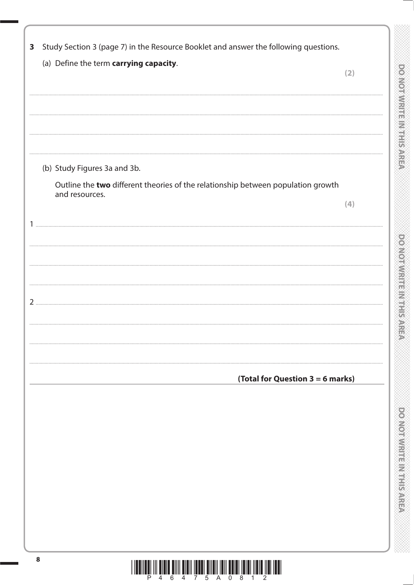DO NOT WRITE IN THIS AREA

Study Section 3 (page 7) in the Resource Booklet and answer the following questions.  $\overline{\mathbf{3}}$ (a) Define the term carrying capacity.  $(2)$ (b) Study Figures 3a and 3b. Outline the two different theories of the relationship between population growth and resources.  $(4)$  $2 \left( \frac{1}{2} \right)$ (Total for Question  $3 = 6$  marks)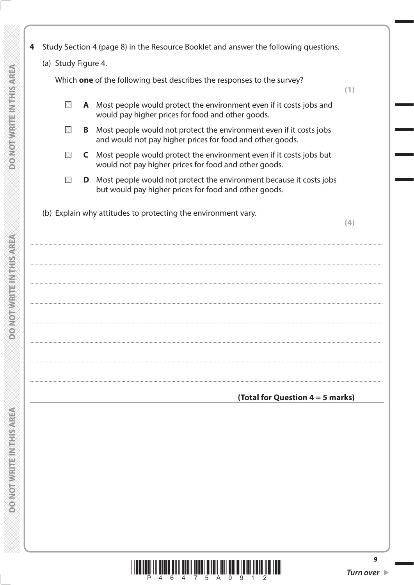| 4 |                     | Study Section 4 (page 8) in the Resource Booklet and answer the following questions.                                                  |     |
|---|---------------------|---------------------------------------------------------------------------------------------------------------------------------------|-----|
|   | (a) Study Figure 4. |                                                                                                                                       |     |
|   |                     | Which one of the following best describes the responses to the survey?                                                                | (1) |
|   | $\mathbb{R}$        | A Most people would protect the environment even if it costs jobs and<br>would pay higher prices for food and other goods.            |     |
|   | $\times$            | Most people would not protect the environment even if it costs jobs<br>B<br>and would not pay higher prices for food and other goods. |     |
|   | $\times$            | C Most people would protect the environment even if it costs jobs but<br>would not pay higher prices for food and other goods.        |     |
|   | $\times$            | Most people would not protect the environment because it costs jobs<br>D<br>but would pay higher prices for food and other goods.     |     |
|   |                     | (b) Explain why attitudes to protecting the environment vary.                                                                         | (4) |
|   |                     |                                                                                                                                       |     |
|   |                     |                                                                                                                                       |     |
|   |                     |                                                                                                                                       |     |
|   |                     |                                                                                                                                       |     |
|   |                     |                                                                                                                                       |     |
|   |                     |                                                                                                                                       |     |
|   |                     | (Total for Question $4 = 5$ marks)                                                                                                    |     |
|   |                     |                                                                                                                                       |     |
|   |                     |                                                                                                                                       |     |
|   |                     |                                                                                                                                       |     |
|   |                     |                                                                                                                                       |     |
|   |                     |                                                                                                                                       |     |
|   |                     |                                                                                                                                       |     |
|   |                     |                                                                                                                                       |     |
|   |                     |                                                                                                                                       |     |
|   |                     |                                                                                                                                       |     |

**DO NOTWATE IN THIS AREA** 

**DONOTWRITEINTHISAREA** 

**DO NOTWRITE INTHISIAREA** 



9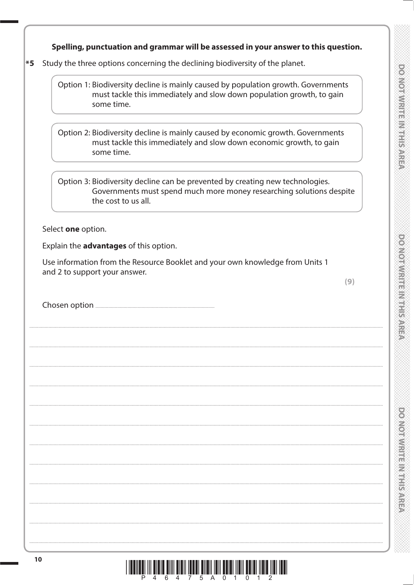|  | Spelling, punctuation and grammar will be assessed in your answer to this question. |  |  |
|--|-------------------------------------------------------------------------------------|--|--|
|  |                                                                                     |  |  |
|  |                                                                                     |  |  |
|  |                                                                                     |  |  |

Study the three options concerning the declining biodiversity of the planet.  $*5$ 

> Option 1: Biodiversity decline is mainly caused by population growth. Governments must tackle this immediately and slow down population growth, to gain some time.

Option 2: Biodiversity decline is mainly caused by economic growth. Governments must tackle this immediately and slow down economic growth, to gain some time.

Option 3: Biodiversity decline can be prevented by creating new technologies. Governments must spend much more money researching solutions despite the cost to us all.

Select one option.

Explain the advantages of this option.

Use information from the Resource Booklet and your own knowledge from Units 1 and 2 to support your answer.

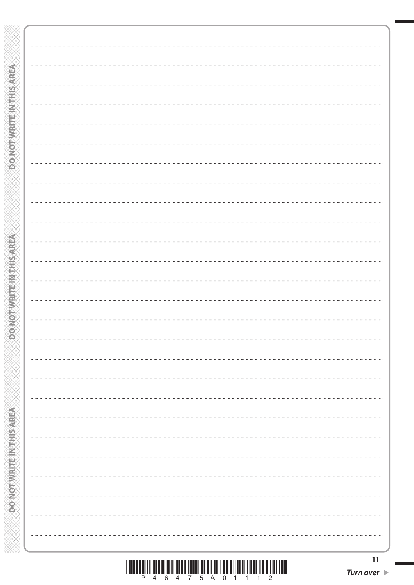| <b>AFE PARSIES IN A PARTICIPALIST</b><br><br><br><br><br><b>ABREST RENTERNATIONS</b><br><br><br><br><br><br><br><br><br>11 |                               |  |
|----------------------------------------------------------------------------------------------------------------------------|-------------------------------|--|
|                                                                                                                            |                               |  |
|                                                                                                                            |                               |  |
|                                                                                                                            |                               |  |
|                                                                                                                            |                               |  |
|                                                                                                                            |                               |  |
|                                                                                                                            |                               |  |
|                                                                                                                            |                               |  |
|                                                                                                                            |                               |  |
|                                                                                                                            |                               |  |
|                                                                                                                            |                               |  |
|                                                                                                                            |                               |  |
|                                                                                                                            |                               |  |
|                                                                                                                            |                               |  |
|                                                                                                                            |                               |  |
|                                                                                                                            |                               |  |
|                                                                                                                            |                               |  |
|                                                                                                                            |                               |  |
|                                                                                                                            |                               |  |
|                                                                                                                            |                               |  |
|                                                                                                                            |                               |  |
|                                                                                                                            |                               |  |
|                                                                                                                            |                               |  |
|                                                                                                                            |                               |  |
|                                                                                                                            |                               |  |
|                                                                                                                            |                               |  |
|                                                                                                                            |                               |  |
|                                                                                                                            |                               |  |
|                                                                                                                            |                               |  |
|                                                                                                                            |                               |  |
|                                                                                                                            |                               |  |
|                                                                                                                            |                               |  |
|                                                                                                                            |                               |  |
|                                                                                                                            |                               |  |
|                                                                                                                            |                               |  |
|                                                                                                                            |                               |  |
|                                                                                                                            |                               |  |
|                                                                                                                            |                               |  |
|                                                                                                                            |                               |  |
|                                                                                                                            |                               |  |
|                                                                                                                            |                               |  |
|                                                                                                                            |                               |  |
|                                                                                                                            |                               |  |
|                                                                                                                            |                               |  |
|                                                                                                                            |                               |  |
|                                                                                                                            |                               |  |
|                                                                                                                            |                               |  |
|                                                                                                                            |                               |  |
|                                                                                                                            |                               |  |
|                                                                                                                            |                               |  |
|                                                                                                                            |                               |  |
|                                                                                                                            |                               |  |
|                                                                                                                            |                               |  |
|                                                                                                                            |                               |  |
|                                                                                                                            |                               |  |
|                                                                                                                            |                               |  |
|                                                                                                                            |                               |  |
|                                                                                                                            |                               |  |
|                                                                                                                            |                               |  |
|                                                                                                                            |                               |  |
|                                                                                                                            |                               |  |
|                                                                                                                            |                               |  |
|                                                                                                                            |                               |  |
|                                                                                                                            |                               |  |
|                                                                                                                            |                               |  |
|                                                                                                                            |                               |  |
|                                                                                                                            |                               |  |
|                                                                                                                            |                               |  |
|                                                                                                                            |                               |  |
|                                                                                                                            |                               |  |
|                                                                                                                            |                               |  |
|                                                                                                                            |                               |  |
|                                                                                                                            |                               |  |
|                                                                                                                            |                               |  |
|                                                                                                                            |                               |  |
|                                                                                                                            |                               |  |
|                                                                                                                            |                               |  |
|                                                                                                                            |                               |  |
|                                                                                                                            |                               |  |
|                                                                                                                            |                               |  |
|                                                                                                                            |                               |  |
|                                                                                                                            |                               |  |
|                                                                                                                            |                               |  |
|                                                                                                                            |                               |  |
|                                                                                                                            |                               |  |
|                                                                                                                            |                               |  |
|                                                                                                                            |                               |  |
|                                                                                                                            |                               |  |
|                                                                                                                            |                               |  |
|                                                                                                                            |                               |  |
|                                                                                                                            |                               |  |
|                                                                                                                            |                               |  |
|                                                                                                                            |                               |  |
|                                                                                                                            |                               |  |
|                                                                                                                            |                               |  |
|                                                                                                                            |                               |  |
|                                                                                                                            |                               |  |
|                                                                                                                            |                               |  |
|                                                                                                                            |                               |  |
|                                                                                                                            |                               |  |
|                                                                                                                            |                               |  |
|                                                                                                                            | <b>POINOT WRITEINSKISAREA</b> |  |
|                                                                                                                            |                               |  |
|                                                                                                                            |                               |  |
|                                                                                                                            |                               |  |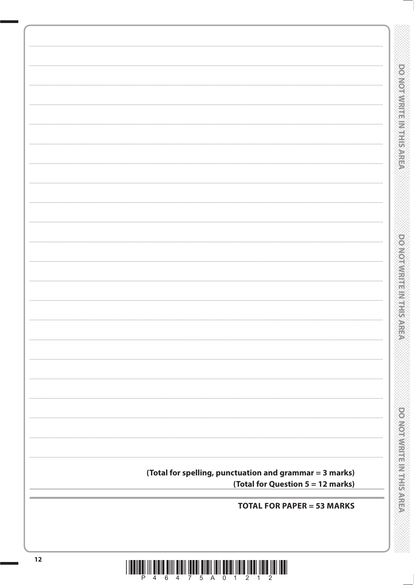|   |   |    |   |   |  | l         |
|---|---|----|---|---|--|-----------|
|   |   |    |   |   |  |           |
|   |   |    |   |   |  |           |
| ۱ |   |    |   |   |  |           |
|   |   |    |   |   |  |           |
| í |   |    |   |   |  | ׇ֠֕֡      |
|   |   |    |   |   |  |           |
|   |   |    |   |   |  | l         |
|   |   |    |   |   |  | i         |
|   |   |    |   | l |  |           |
|   | ⇔ |    |   |   |  | l         |
|   |   |    |   |   |  |           |
|   |   |    |   |   |  |           |
| j | ë |    |   |   |  |           |
|   |   |    |   |   |  |           |
| į |   |    |   |   |  |           |
|   |   |    |   |   |  |           |
|   | m |    |   |   |  |           |
| ø |   |    |   |   |  |           |
|   | ≚ |    |   |   |  |           |
|   |   |    |   |   |  | ֚֚֡       |
|   | ۵ |    |   |   |  | Ş         |
|   |   |    |   |   |  |           |
|   |   |    |   |   |  |           |
|   |   |    |   |   |  | ֦         |
|   |   |    |   |   |  |           |
| ï |   |    |   |   |  |           |
|   |   |    |   |   |  |           |
|   | Ž |    |   |   |  | ֠         |
|   |   |    |   |   |  |           |
|   |   |    |   |   |  |           |
|   |   |    |   |   |  |           |
|   |   | ٧  |   |   |  |           |
|   |   |    |   |   |  |           |
|   | š |    |   |   |  |           |
|   |   |    |   |   |  |           |
|   | á |    | ı |   |  |           |
| î |   |    |   | ı |  | ׇ֠֕֡      |
|   |   |    |   |   |  | ì         |
| ŧ |   |    |   |   |  |           |
|   |   |    |   |   |  |           |
|   |   |    |   |   |  | ֡֡֡֡֡֡֡֡֡ |
| Ĵ |   |    |   |   |  |           |
|   |   |    |   |   |  |           |
|   |   |    |   |   |  |           |
|   |   | ي≚ |   |   |  |           |
| j |   |    |   |   |  |           |
|   |   |    |   |   |  |           |
|   |   | ó. | ۱ |   |  |           |
|   |   |    |   |   |  |           |
|   | Þ |    |   |   |  |           |
|   |   |    |   |   |  |           |
|   |   |    |   |   |  |           |
|   |   |    |   |   |  |           |
|   |   |    |   |   |  |           |
|   |   |    |   |   |  |           |
|   |   |    |   |   |  |           |

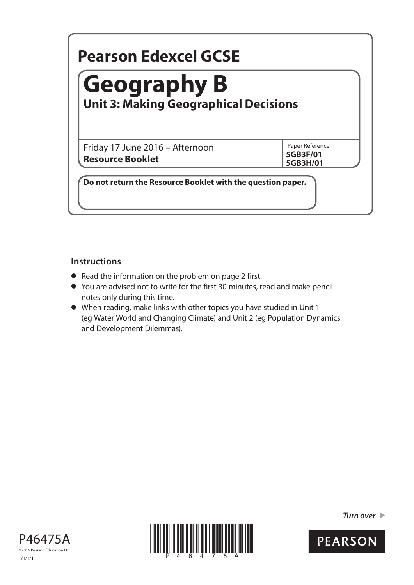# Paper Reference **Pearson Edexcel GCSE Do not return the Resource Booklet with the question paper. 5GB3F/01 5GB3H/01** Friday 17 June 2016 – Afternoon **Resource Booklet Geography B Unit 3: Making Geographical Decisions**

## **Instructions**

- **•** Read the information on the problem on page 2 first.
- **•** You are advised not to write for the first 30 minutes, read and make pencil notes only during this time.
- **•** When reading, make links with other topics you have studied in Unit 1 (eg Water World and Changing Climate) and Unit 2 (eg Population Dynamics and Development Dilemmas).





**Turn over** 

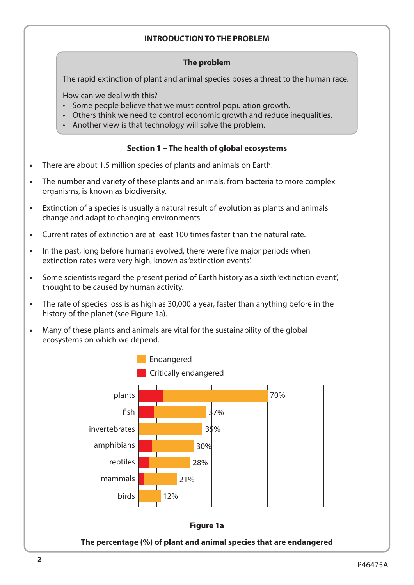## **INTRODUCTION TO THE PROBLEM**

#### **The problem**

The rapid extinction of plant and animal species poses a threat to the human race.

How can we deal with this?

- Some people believe that we must control population growth.
- Others think we need to control economic growth and reduce inequalities.
- Another view is that technology will solve the problem.

#### **Section 1 – The health of global ecosystems**

- **•** There are about 1.5 million species of plants and animals on Earth.
- **•** The number and variety of these plants and animals, from bacteria to more complex organisms, is known as biodiversity.
- **•** Extinction of a species is usually a natural result of evolution as plants and animals change and adapt to changing environments.
- **•** Current rates of extinction are at least 100 times faster than the natural rate.
- **•** In the past, long before humans evolved, there were five major periods when extinction rates were very high, known as 'extinction events'.
- **•** Some scientists regard the present period of Earth history as a sixth 'extinction event', thought to be caused by human activity.
- **•** The rate of species loss is as high as 30,000 a year, faster than anything before in the history of the planet (see Figure 1a).
- **•** Many of these plants and animals are vital for the sustainability of the global ecosystems on which we depend.



**The percentage (%) of plant and animal species that are endangered**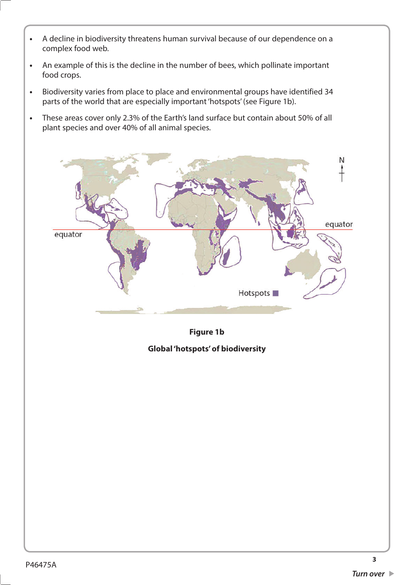- **•** A decline in biodiversity threatens human survival because of our dependence on a complex food web.
- **•** An example of this is the decline in the number of bees, which pollinate important food crops.
- **•** Biodiversity varies from place to place and environmental groups have identified 34 parts of the world that are especially important 'hotspots' (see Figure 1b).
- **•** These areas cover only 2.3% of the Earth's land surface but contain about 50% of all plant species and over 40% of all animal species.



**Figure 1b Global 'hotspots' of biodiversity**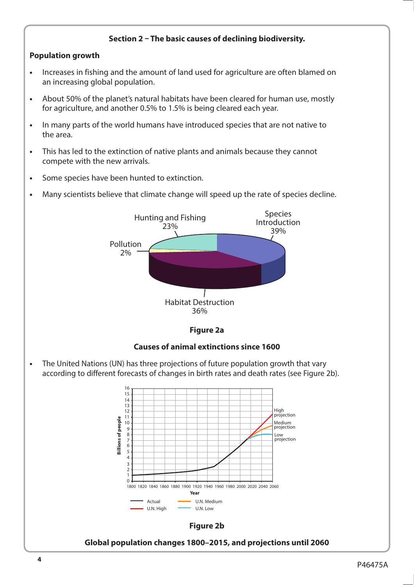## **Section 2 – The basic causes of declining biodiversity.**

### **Population growth**

- **•** Increases in fishing and the amount of land used for agriculture are often blamed on an increasing global population.
- **•** About 50% of the planet's natural habitats have been cleared for human use, mostly for agriculture, and another 0.5% to 1.5% is being cleared each year.
- **•** In many parts of the world humans have introduced species that are not native to the area.
- **•** This has led to the extinction of native plants and animals because they cannot compete with the new arrivals.
- **•** Some species have been hunted to extinction.



**•** Many scientists believe that climate change will speed up the rate of species decline.



**Causes of animal extinctions since 1600**

**•** The United Nations (UN) has three projections of future population growth that vary according to different forecasts of changes in birth rates and death rates (see Figure 2b).





**Global population changes 1800–2015, and projections until 2060**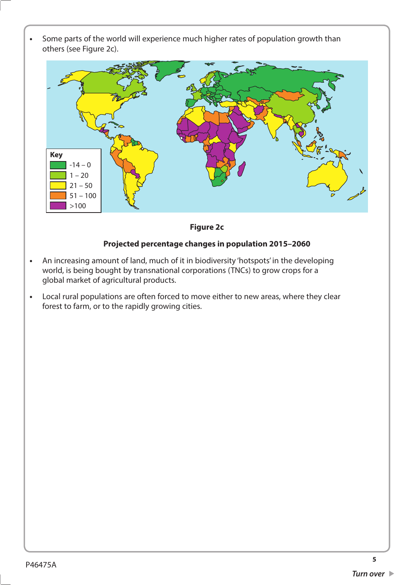**•** Some parts of the world will experience much higher rates of population growth than others (see Figure 2c).



**Figure 2c**

## **Projected percentage changes in population 2015–2060**

- An increasing amount of land, much of it in biodiversity 'hotspots' in the developing world, is being bought by transnational corporations (TNCs) to grow crops for a global market of agricultural products.
- Local rural populations are often forced to move either to new areas, where they clear forest to farm, or to the rapidly growing cities.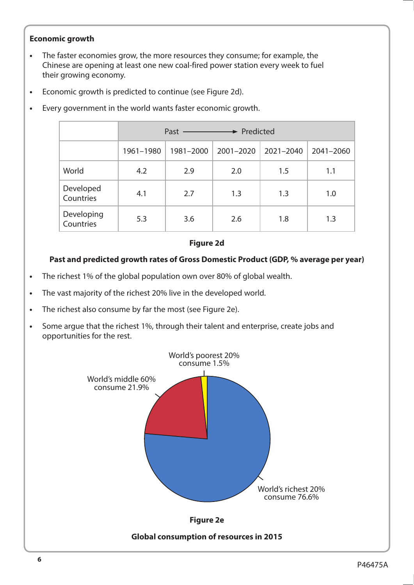### **Economic growth**

- The faster economies grow, the more resources they consume; for example, the Chinese are opening at least one new coal-fired power station every week to fuel their growing economy.
- Economic growth is predicted to continue (see Figure 2d).
- Every government in the world wants faster economic growth.

|                         |           | Past —    |           | $\rightarrow$ Predicted |           |  |  |
|-------------------------|-----------|-----------|-----------|-------------------------|-----------|--|--|
|                         | 1961-1980 | 1981-2000 | 2001-2020 | 2021-2040               | 2041-2060 |  |  |
| World                   | 4.2       | 2.9       | 2.0       | 1.5                     | 1.1       |  |  |
| Developed<br>Countries  | 4.1       | 2.7       | 1.3       | 1.3                     | 1.0       |  |  |
| Developing<br>Countries | 5.3       | 3.6       | 2.6       | 1.8                     | 1.3       |  |  |

#### **Figure 2d**

#### **Past and predicted growth rates of Gross Domestic Product (GDP, % average per year)**

- The richest 1% of the global population own over 80% of global wealth.
- The vast majority of the richest 20% live in the developed world.
- The richest also consume by far the most (see Figure 2e).
- Some argue that the richest 1%, through their talent and enterprise, create jobs and opportunities for the rest.

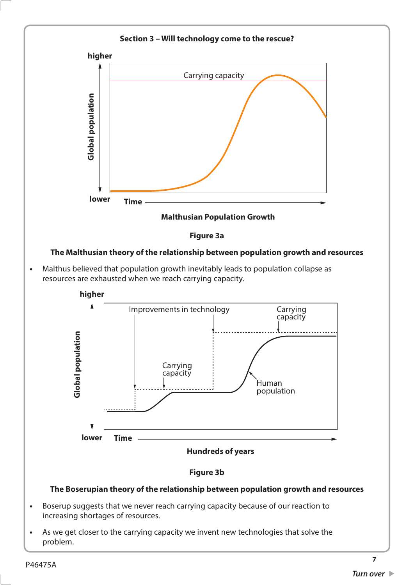

**•** As we get closer to the carrying capacity we invent new technologies that solve the problem.

**7**